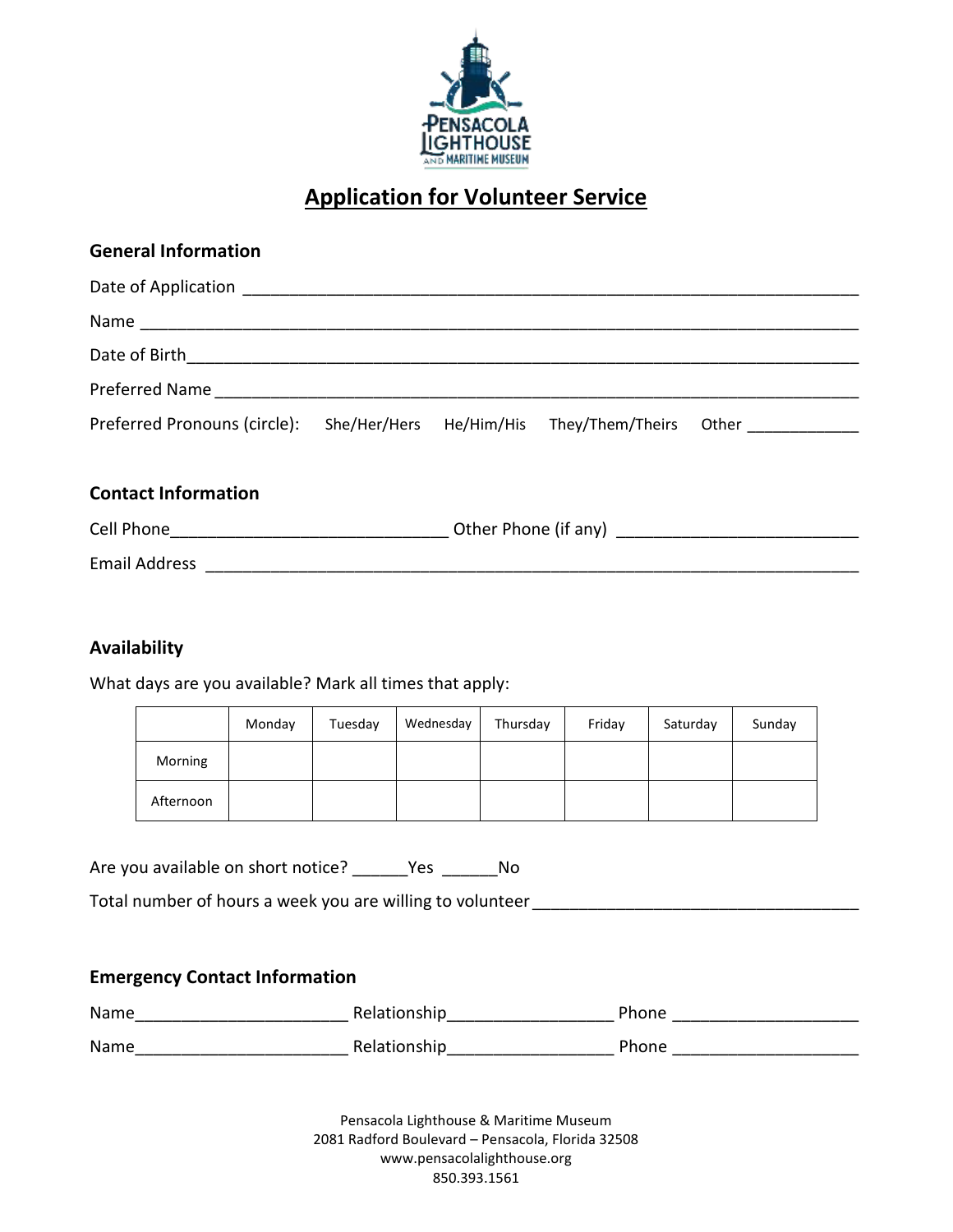

# **Application for Volunteer Service**

| <b>General Information</b>                                                              |  |  |  |  |
|-----------------------------------------------------------------------------------------|--|--|--|--|
|                                                                                         |  |  |  |  |
|                                                                                         |  |  |  |  |
|                                                                                         |  |  |  |  |
|                                                                                         |  |  |  |  |
| Preferred Pronouns (circle): She/Her/Hers He/Him/His They/Them/Theirs Other ___________ |  |  |  |  |
| <b>Contact Information</b>                                                              |  |  |  |  |
|                                                                                         |  |  |  |  |
|                                                                                         |  |  |  |  |

# **Availability**

What days are you available? Mark all times that apply:

|                | Monday | Tuesday | Wednesday | Thursday | Friday | Saturday | Sunday |
|----------------|--------|---------|-----------|----------|--------|----------|--------|
| <b>Morning</b> |        |         |           |          |        |          |        |
| Afternoon      |        |         |           |          |        |          |        |

Are you available on short notice? \_\_\_\_\_\_Yes \_\_\_\_\_\_No

Total number of hours a week you are willing to volunteer \_\_\_\_\_\_\_\_\_\_\_\_\_\_\_\_\_\_\_\_\_\_

# **Emergency Contact Information**

| Name | Relationship | Phone |
|------|--------------|-------|
| Name | Relationship | Phone |

Pensacola Lighthouse & Maritime Museum 2081 Radford Boulevard – Pensacola, Florida 32508 www.pensacolalighthouse.org 850.393.1561